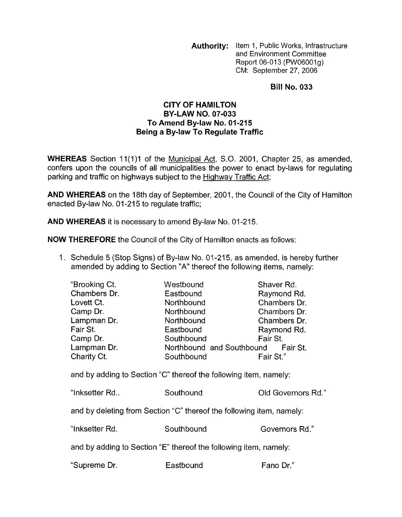**Authority:** Item 1, Public Works, Infrastructure and Environment Committee Report 06-013 (PW06001g) CM: September 27, 2006

## **Bill No. 033**

## **CITY OF HAMILTON To Amend By-law No. 01-215 Being a By-law To Regulate Traffic BY-LAW NO. 07-033**

**WHEREAS** Section 11(1)1 of the Municipal Act, S.O. 2001, Chapter 25, as amended, confers upon the councils of all municipalities the power to enact by-laws for regulating parking and traffic on highways subject to the Highway Traffic Act;

**AND WHEREAS** on the 18th day of September, 2001, the Council of the City of Hamilton enacted By-law No. 01-215 to regulate traffic;

**AND WHEREAS** it is necessary to amend By-law No. 01-215.

**NOW THEREFORE** the Council of the City of Hamilton enacts as follows:

1. Schedule 5 (Stop Signs) of By-law No. 01-215, as amended, is hereby further amended by adding to Section "A" thereof the following items, namely:

| "Brooking Ct.                                                        | Westbound                                                                     | Shaver Rd.         |
|----------------------------------------------------------------------|-------------------------------------------------------------------------------|--------------------|
| Chambers Dr.                                                         | Eastbound                                                                     | Raymond Rd.        |
| Lovett Ct.                                                           | Northbound                                                                    | Chambers Dr.       |
| Camp Dr.                                                             | Northbound                                                                    | Chambers Dr.       |
| Lampman Dr.                                                          | Northbound                                                                    | Chambers Dr.       |
| Fair St.                                                             | Eastbound                                                                     | Raymond Rd.        |
| Camp Dr.                                                             | Southbound                                                                    | Fair St.           |
| Lampman Dr.                                                          | Northbound and Southbound Fair St.                                            |                    |
| Charity Ct.                                                          | Southbound                                                                    | Fair St."          |
| "Inksetter Rd                                                        | and by adding to Section "C" thereof the following item, namely:<br>Southound | Old Governors Rd." |
| and by deleting from Section "C" thereof the following item, namely: |                                                                               |                    |
| "Inksetter Rd.                                                       | Southbound                                                                    | Governors Rd."     |
| and by adding to Section "E" thereof the following item, namely:     |                                                                               |                    |
| "Supreme Dr.                                                         | Eastbound                                                                     | Fano Dr."          |